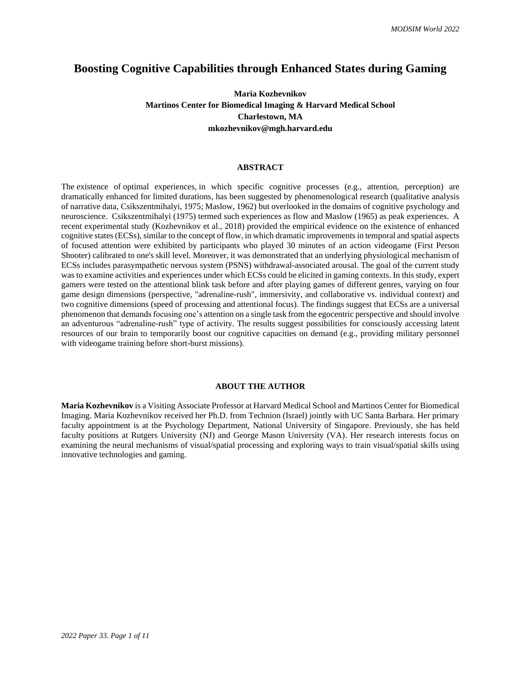## **Boosting Cognitive Capabilities through Enhanced States during Gaming**

## **Maria Kozhevnikov Martinos Center for Biomedical Imaging & Harvard Medical School Charlestown, MA**  $mkozhevnikov@mgh.harvard.edu$

#### **ABSTRACT**

The existence of optimal experiences, in which specific cognitive processes (e.g., attention, perception) are dramatically enhanced for limited durations, has been suggested by phenomenological research (qualitative analysis of narrative data, Csikszentmihalyi, 1975; Maslow, 1962) but overlooked in the domains of cognitive psychology and neuroscience. Csikszentmihalyi (1975) termed such experiences as flow and Maslow (1965) as peak experiences. A recent experimental study (Kozhevnikov et al., 2018) provided the empirical evidence on the existence of enhanced cognitive states(ECSs), similar to the concept of flow, in which dramatic improvements in temporal and spatial aspects of focused attention were exhibited by participants who played 30 minutes of an action videogame (First Person Shooter) calibrated to one's skill level. Moreover, it was demonstrated that an underlying physiological mechanism of ECSs includes parasympathetic nervous system (PSNS) withdrawal-associated arousal. The goal of the current study was to examine activities and experiences under which ECSs could be elicited in gaming contexts. In this study, expert gamers were tested on the attentional blink task before and after playing games of different genres, varying on four game design dimensions (perspective, "adrenaline-rush", immersivity, and collaborative vs. individual context) and two cognitive dimensions (speed of processing and attentional focus). The findings suggest that ECSs are a universal phenomenon that demands focusing one's attention on a single task from the egocentric perspective and should involve an adventurous "adrenaline-rush" type of activity. The results suggest possibilities for consciously accessing latent resources of our brain to temporarily boost our cognitive capacities on demand (e.g., providing military personnel with videogame training before short-burst missions).

#### **ABOUT THE AUTHOR**

**Maria Kozhevnikov** is a Visiting Associate Professor at Harvard Medical School and Martinos Center for Biomedical Imaging. Maria Kozhevnikov received her Ph.D. from Technion (Israel) jointly with UC Santa Barbara. Her primary faculty appointment is at the Psychology Department, National University of Singapore. Previously, she has held faculty positions at Rutgers University (NJ) and George Mason University (VA). Her research interests focus on examining the neural mechanisms of visual/spatial processing and exploring ways to train visual/spatial skills using innovative technologies and gaming.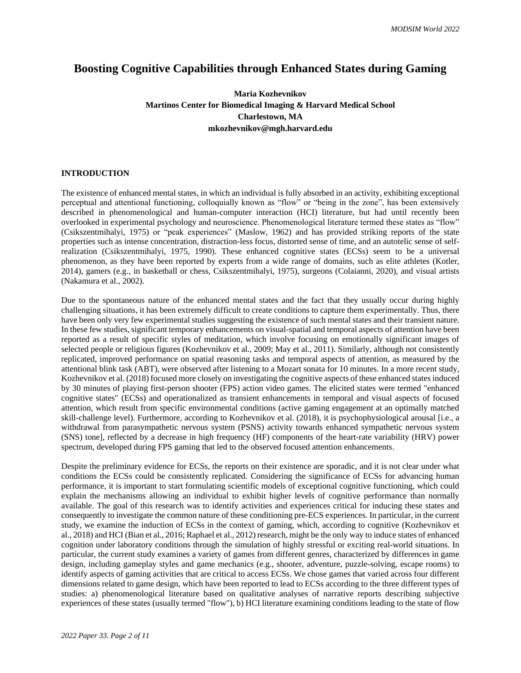# **Boosting Cognitive Capabilities through Enhanced States during Gaming**

## **Maria Kozhevnikov Martinos Center for Biomedical Imaging & Harvard Medical School Charlestown, MA**  $mkozhevnikov@mgh.harvard.edu$

## **INTRODUCTION**

The existence of enhanced mental states, in which an individual is fully absorbed in an activity, exhibiting exceptional perceptual and attentional functioning, colloquially known as "flow" or "being in the zone", has been extensively described in phenomenological and human-computer interaction (HCI) literature, but had until recently been overlooked in experimental psychology and neuroscience. Phenomenological literature termed these states as "flow" (Csikszentmihalyi, 1975) or "peak experiences" (Maslow, 1962) and has provided striking reports of the state properties such as intense concentration, distraction-less focus, distorted sense of time, and an autotelic sense of selfrealization (Csikszentmihalyi, 1975, 1990). These enhanced cognitive states (ECSs) seem to be a universal phenomenon, as they have been reported by experts from a wide range of domains, such as elite athletes (Kotler, 2014), gamers (e.g., in basketball or chess, Csikszentmihalyi, 1975), surgeons (Colaianni, 2020), and visual artists (Nakamura et al., 2002).

Due to the spontaneous nature of the enhanced mental states and the fact that they usually occur during highly challenging situations, it has been extremely difficult to create conditions to capture them experimentally. Thus, there have been only very few experimental studies suggesting the existence of such mental states and their transient nature. In these few studies, significant temporary enhancements on visual-spatial and temporal aspects of attention have been reported as a result of specific styles of meditation, which involve focusing on emotionally significant images of selected people or religious figures (Kozhevnikov et al., 2009; May et al., 2011). Similarly, although not consistently replicated, improved performance on spatial reasoning tasks and temporal aspects of attention, as measured by the attentional blink task (ABT), were observed after listening to a Mozart sonata for 10 minutes. In a more recent study, Kozhevnikov et al. (2018) focused more closely on investigating the cognitive aspects of these enhanced states induced by 30 minutes of playing first-person shooter (FPS) action video games. The elicited states were termed "enhanced cognitive states" (ECSs) and operationalized as transient enhancements in temporal and visual aspects of focused attention, which result from specific environmental conditions (active gaming engagement at an optimally matched skill-challenge level). Furthermore, according to Kozhevnikov et al. (2018), it is psychophysiological arousal [i.e., a withdrawal from parasympathetic nervous system (PSNS) activity towards enhanced sympathetic nervous system (SNS) tone], reflected by a decrease in high frequency (HF) components of the heart-rate variability (HRV) power spectrum, developed during FPS gaming that led to the observed focused attention enhancements.

Despite the preliminary evidence for ECSs, the reports on their existence are sporadic, and it is not clear under what conditions the ECSs could be consistently replicated. Considering the significance of ECSs for advancing human performance, it is important to start formulating scientific models of exceptional cognitive functioning, which could explain the mechanisms allowing an individual to exhibit higher levels of cognitive performance than normally available. The goal of this research was to identify activities and experiences critical for inducing these states and consequently to investigate the common nature of these conditioning pre-ECS experiences. In particular, in the current study, we examine the induction of ECSs in the context of gaming, which, according to cognitive (Kozhevnikov et al., 2018) and HCI (Bian et al., 2016; Raphael et al., 2012) research, might be the only way to induce states of enhanced cognition under laboratory conditions through the simulation of highly stressful or exciting real-world situations. In particular, the current study examines a variety of games from different genres, characterized by differences in game design, including gameplay styles and game mechanics (e.g., shooter, adventure, puzzle-solving, escape rooms) to identify aspects of gaming activities that are critical to access ECSs. We chose games that varied across four different dimensions related to game design, which have been reported to lead to ECSs according to the three different types of studies: a) phenomenological literature based on qualitative analyses of narrative reports describing subjective experiences of these states (usually termed "flow"), b) HCI literature examining conditions leading to the state of flow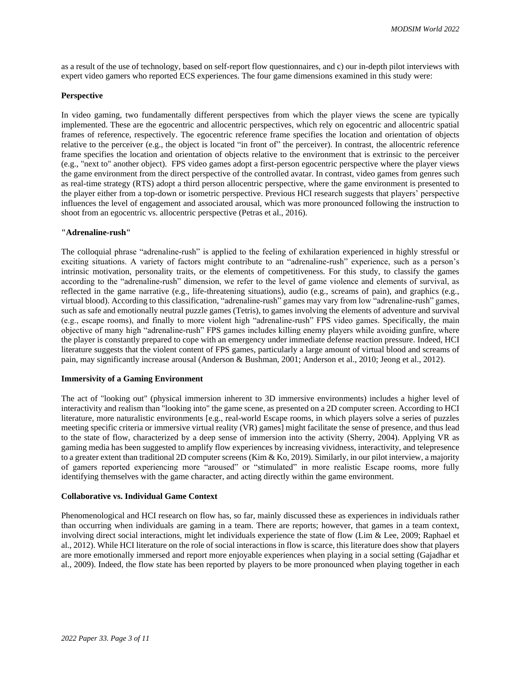as a result of the use of technology, based on self-report flow questionnaires, and c) our in-depth pilot interviews with expert video gamers who reported ECS experiences. The four game dimensions examined in this study were:

#### **Perspective**

In video gaming, two fundamentally different perspectives from which the player views the scene are typically implemented. These are the egocentric and allocentric perspectives, which rely on egocentric and allocentric spatial frames of reference, respectively. The egocentric reference frame specifies the location and orientation of objects relative to the perceiver (e.g., the object is located "in front of" the perceiver). In contrast, the allocentric reference frame specifies the location and orientation of objects relative to the environment that is extrinsic to the perceiver (e.g., "next to" another object). FPS video games adopt a first-person egocentric perspective where the player views the game environment from the direct perspective of the controlled avatar. In contrast, video games from genres such as real-time strategy (RTS) adopt a third person allocentric perspective, where the game environment is presented to the player either from a top-down or isometric perspective. Previous HCI research suggests that players' perspective influences the level of engagement and associated arousal, which was more pronounced following the instruction to shoot from an egocentric vs. allocentric perspective (Petras et al., 2016).

#### **"Adrenaline-rush"**

The colloquial phrase "adrenaline-rush" is applied to the feeling of exhilaration experienced in highly stressful or exciting situations. A variety of factors might contribute to an "adrenaline-rush" experience, such as a person's intrinsic motivation, personality traits, or the elements of competitiveness. For this study, to classify the games according to the "adrenaline-rush" dimension, we refer to the level of game violence and elements of survival, as reflected in the game narrative (e.g., life-threatening situations), audio (e.g., screams of pain), and graphics (e.g., virtual blood). According to this classification, "adrenaline-rush" games may vary from low "adrenaline-rush" games, such as safe and emotionally neutral puzzle games (Tetris), to games involving the elements of adventure and survival (e.g., escape rooms), and finally to more violent high "adrenaline-rush" FPS video games. Specifically, the main objective of many high "adrenaline-rush" FPS games includes killing enemy players while avoiding gunfire, where the player is constantly prepared to cope with an emergency under immediate defense reaction pressure. Indeed, HCI literature suggests that the violent content of FPS games, particularly a large amount of virtual blood and screams of pain, may significantly increase arousal (Anderson & Bushman, 2001; Anderson et al., 2010; Jeong et al., 2012).

## **Immersivity of a Gaming Environment**

The act of "looking out" (physical immersion inherent to 3D immersive environments) includes a higher level of interactivity and realism than "looking into" the game scene, as presented on a 2D computer screen. According to HCI literature, more naturalistic environments [e.g., real-world Escape rooms, in which players solve a series of puzzles meeting specific criteria or immersive virtual reality (VR) games] might facilitate the sense of presence, and thus lead to the state of flow, characterized by a deep sense of immersion into the activity (Sherry, 2004). Applying VR as gaming media has been suggested to amplify flow experiences by increasing vividness, interactivity, an[d telepresence](https://www.sciencedirect.com/topics/computer-science/telepresence) to a greater extent than traditional 2D computer screens (Kim & Ko, 2019). Similarly, in our pilot interview, a majority of gamers reported experiencing more "aroused" or "stimulated" in more realistic Escape rooms, more fully identifying themselves with the game character, and acting directly within the game environment.

## **Collaborative vs. Individual Game Context**

Phenomenological and HCI research on flow has, so far, mainly discussed these as experiences in individuals rather than occurring when individuals are gaming in a team. There are reports; however, that games in a team context, involving direct social interactions, might let individuals experience the state of flow (Lim & Lee, 2009; Raphael et al., 2012). While HCI literature on the role of social interactions in flow is scarce, this literature does show that players are more emotionally immersed and report more enjoyable experiences when playing in a social setting (Gajadhar et al., 2009). Indeed, the flow state has been reported by players to be more pronounced when playing together in each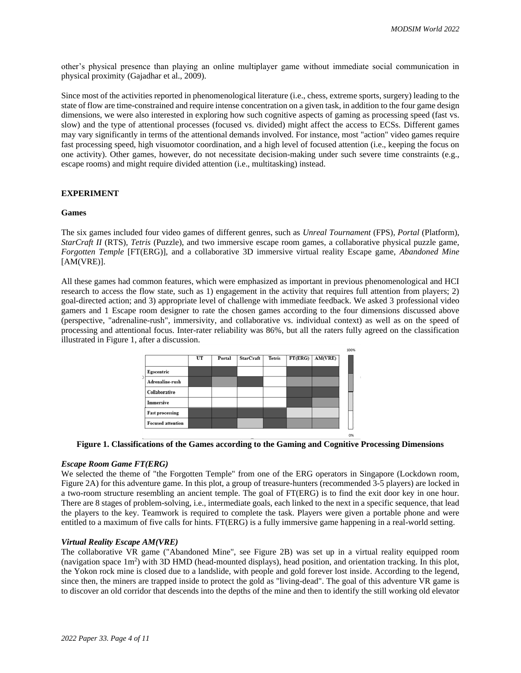other's physical presence than playing an online multiplayer game without immediate social communication in physical proximity (Gajadhar et al., 2009).

Since most of the activities reported in phenomenological literature (i.e., chess, extreme sports, surgery) leading to the state of flow are time-constrained and require intense concentration on a given task, in addition to the four game design dimensions, we were also interested in exploring how such cognitive aspects of gaming as processing speed (fast vs. slow) and the type of attentional processes (focused vs. divided) might affect the access to ECSs. Different games may vary significantly in terms of the attentional demands involved. For instance, most "action" video games require fast processing speed, high visuomotor coordination, and a high level of focused attention (i.e., keeping the focus on one activity). Other games, however, do not necessitate decision-making under such severe time constraints (e.g., escape rooms) and might require divided attention (i.e., multitasking) instead.

## **EXPERIMENT**

#### **Games**

The six games included four video games of different genres, such as *Unreal Tournament* (FPS)*, Portal* (Platform), *StarCraft II* (RTS)*, Tetris* (Puzzle), and two immersive escape room games, a collaborative physical puzzle game, *Forgotten Temple* [FT(ERG)], and a collaborative 3D immersive virtual reality Escape game, *Abandoned Mine* [AM(VRE)].

All these games had common features, which were emphasized as important in previous phenomenological and HCI research to access the flow state, such as 1) engagement in the activity that requires full attention from players; 2) goal-directed action; and 3) appropriate level of challenge with immediate feedback. We asked 3 professional video gamers and 1 Escape room designer to rate the chosen games according to the four dimensions discussed above (perspective, "adrenaline-rush", immersivity, and collaborative vs. individual context) as well as on the speed of processing and attentional focus. Inter-rater reliability was 86%, but all the raters fully agreed on the classification illustrated in Figure 1, after a discussion.





## *Escape Room Game FT(ERG)*

We selected the theme of "the Forgotten Temple" from one of the ERG operators in Singapore (Lockdown room, Figure 2A) for this adventure game. In this plot, a group of treasure-hunters (recommended 3-5 players) are locked in a two-room structure resembling an ancient temple. The goal of FT(ERG) is to find the exit door key in one hour. There are 8 stages of problem-solving, i.e., intermediate goals, each linked to the next in a specific sequence, that lead the players to the key. Teamwork is required to complete the task. Players were given a portable phone and were entitled to a maximum of five calls for hints. FT(ERG) is a fully immersive game happening in a real-world setting.

## *Virtual Reality Escape AM(VRE)*

The collaborative VR game ("Abandoned Mine", see Figure 2B) was set up in a virtual reality equipped room (navigation space 1m<sup>2</sup>) with 3D HMD (head-mounted displays), head position, and orientation tracking. In this plot, the Yokon rock mine is closed due to a landslide, with people and gold forever lost inside. According to the legend, since then, the miners are trapped inside to protect the gold as "living-dead". The goal of this adventure VR game is to discover an old corridor that descends into the depths of the mine and then to identify the still working old elevator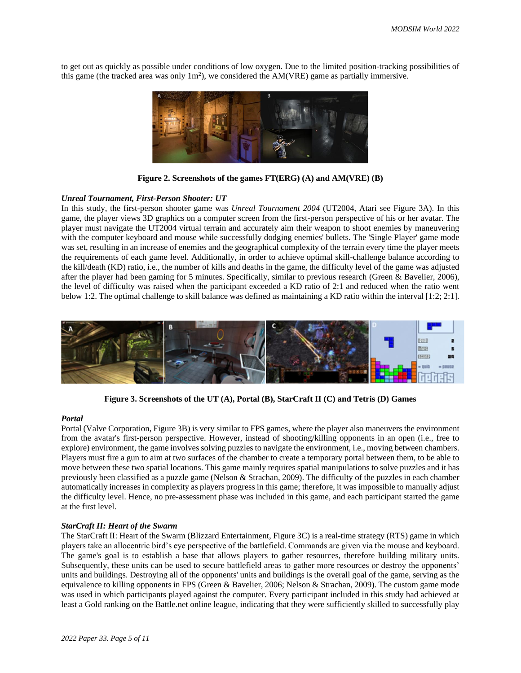to get out as quickly as possible under conditions of low oxygen. Due to the limited position-tracking possibilities of this game (the tracked area was only  $1m<sup>2</sup>$ ), we considered the AM(VRE) game as partially immersive.



**Figure 2. Screenshots of the games FT(ERG) (A) and AM(VRE) (B)**

#### *Unreal Tournament, First-Person Shooter: UT*

In this study, the first-person shooter game was *Unreal Tournament 2004* (UT2004, Atari see Figure 3A). In this game, the player views 3D graphics on a computer screen from the first-person perspective of his or her avatar. The player must navigate the UT2004 virtual terrain and accurately aim their weapon to shoot enemies by maneuvering with the computer keyboard and mouse while successfully dodging enemies' bullets. The 'Single Player' game mode was set, resulting in an increase of enemies and the geographical complexity of the terrain every time the player meets the requirements of each game level. Additionally, in order to achieve optimal skill-challenge balance according to the kill/death (KD) ratio, i.e., the number of kills and deaths in the game, the difficulty level of the game was adjusted after the player had been gaming for 5 minutes. Specifically, similar to previous research (Green & Bavelier, 2006), the level of difficulty was raised when the participant exceeded a KD ratio of 2:1 and reduced when the ratio went below 1:2. The optimal challenge to skill balance was defined as maintaining a KD ratio within the interval [1:2; 2:1].



**Figure 3. Screenshots of the UT (A), Portal (B), StarCraft II (C) and Tetris (D) Games**

#### *Portal*

Portal (Valve Corporation, Figure 3B) is very similar to FPS games, where the player also maneuvers the environment from the avatar's first-person perspective. However, instead of shooting/killing opponents in an open (i.e., free to explore) environment, the game involves solving puzzles to navigate the environment, i.e., moving between chambers. Players must fire a gun to aim at two surfaces of the chamber to create a temporary portal between them, to be able to move between these two spatial locations. This game mainly requires spatial manipulations to solve puzzles and it has previously been classified as a puzzle game (Nelson & Strachan, 2009). The difficulty of the puzzles in each chamber automatically increases in complexity as players progress in this game; therefore, it was impossible to manually adjust the difficulty level. Hence, no pre-assessment phase was included in this game, and each participant started the game at the first level.

#### *StarCraft II: Heart of the Swarm*

The StarCraft II: Heart of the Swarm (Blizzard Entertainment, Figure 3C) is a real-time strategy (RTS) game in which players take an allocentric bird's eye perspective of the battlefield. Commands are given via the mouse and keyboard. The game's goal is to establish a base that allows players to gather resources, therefore building military units. Subsequently, these units can be used to secure battlefield areas to gather more resources or destroy the opponents' units and buildings. Destroying all of the opponents' units and buildings is the overall goal of the game, serving as the equivalence to killing opponents in FPS (Green & Bavelier, 2006; Nelson & Strachan, 2009). The custom game mode was used in which participants played against the computer. Every participant included in this study had achieved at least a Gold ranking on the Battle.net online league, indicating that they were sufficiently skilled to successfully play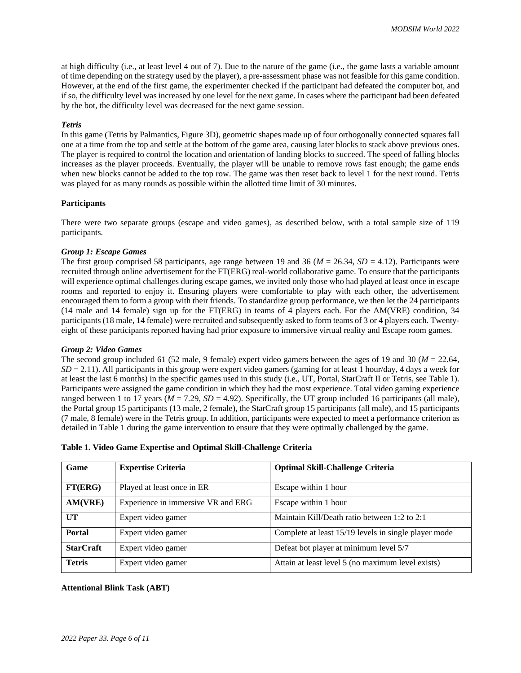at high difficulty (i.e., at least level 4 out of 7). Due to the nature of the game (i.e., the game lasts a variable amount of time depending on the strategy used by the player), a pre-assessment phase was not feasible for this game condition. However, at the end of the first game, the experimenter checked if the participant had defeated the computer bot, and if so, the difficulty level was increased by one level for the next game. In cases where the participant had been defeated by the bot, the difficulty level was decreased for the next game session.

## *Tetris*

In this game (Tetris by Palmantics, Figure 3D), geometric shapes made up of four orthogonally connected squares fall one at a time from the top and settle at the bottom of the game area, causing later blocks to stack above previous ones. The player is required to control the location and orientation of landing blocks to succeed. The speed of falling blocks increases as the player proceeds. Eventually, the player will be unable to remove rows fast enough; the game ends when new blocks cannot be added to the top row. The game was then reset back to level 1 for the next round. Tetris was played for as many rounds as possible within the allotted time limit of 30 minutes.

## **Participants**

There were two separate groups (escape and video games), as described below, with a total sample size of 119 participants.

## *Group 1: Escape Games*

The first group comprised 58 participants, age range between 19 and 36 (*M* = 26.34, *SD* = 4.12). Participants were recruited through online advertisement for the FT(ERG) real-world collaborative game. To ensure that the participants will experience optimal challenges during escape games, we invited only those who had played at least once in escape rooms and reported to enjoy it. Ensuring players were comfortable to play with each other, the advertisement encouraged them to form a group with their friends. To standardize group performance, we then let the 24 participants (14 male and 14 female) sign up for the FT(ERG) in teams of 4 players each. For the AM(VRE) condition, 34 participants (18 male, 14 female) were recruited and subsequently asked to form teams of 3 or 4 players each. Twentyeight of these participants reported having had prior exposure to immersive virtual reality and Escape room games.

## *Group 2: Video Games*

The second group included 61 (52 male, 9 female) expert video gamers between the ages of 19 and 30 (*M* = 22.64,  $SD = 2.11$ ). All participants in this group were expert video gamers (gaming for at least 1 hour/day, 4 days a week for at least the last 6 months) in the specific games used in this study (i.e., UT, Portal, StarCraft II or Tetris, see Table 1). Participants were assigned the game condition in which they had the most experience. Total video gaming experience ranged between 1 to 17 years ( $M = 7.29$ ,  $SD = 4.92$ ). Specifically, the UT group included 16 participants (all male), the Portal group 15 participants (13 male, 2 female), the StarCraft group 15 participants (all male), and 15 participants (7 male, 8 female) were in the Tetris group. In addition, participants were expected to meet a performance criterion as detailed in Table 1 during the game intervention to ensure that they were optimally challenged by the game.

|  | Table 1. Video Game Expertise and Optimal Skill-Challenge Criteria |  |  |
|--|--------------------------------------------------------------------|--|--|
|--|--------------------------------------------------------------------|--|--|

| Game             | <b>Expertise Criteria</b>          | <b>Optimal Skill-Challenge Criteria</b>              |
|------------------|------------------------------------|------------------------------------------------------|
| FT(ERG)          | Played at least once in ER         | Escape within 1 hour                                 |
| AM(VRE)          | Experience in immersive VR and ERG | Escape within 1 hour                                 |
| UT               | Expert video gamer                 | Maintain Kill/Death ratio between 1:2 to 2:1         |
| <b>Portal</b>    | Expert video gamer                 | Complete at least 15/19 levels in single player mode |
| <b>StarCraft</b> | Expert video gamer                 | Defeat bot player at minimum level 5/7               |
| <b>Tetris</b>    | Expert video gamer                 | Attain at least level 5 (no maximum level exists)    |

## **Attentional Blink Task (ABT)**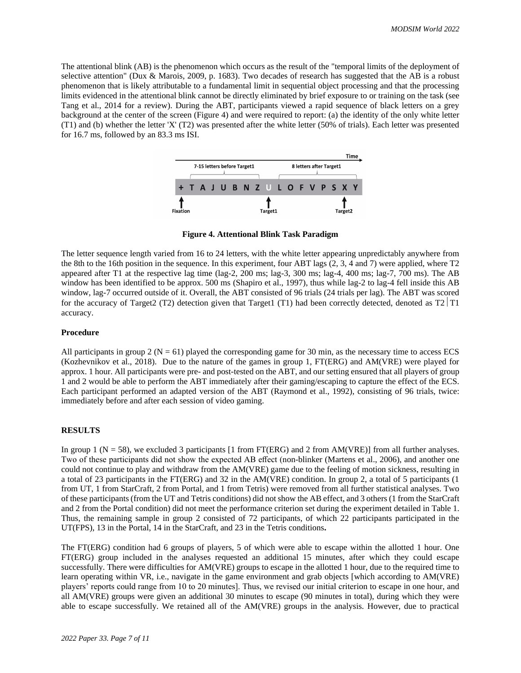The attentional blink (AB) is the phenomenon which occurs as the result of the "temporal limits of the deployment of selective attention" (Dux & Marois, 2009, p. 1683). Two decades of research has suggested that the AB is a robust phenomenon that is likely attributable to a fundamental limit in sequential object processing and that the processing limits evidenced in the attentional blink cannot be directly eliminated by brief exposure to or training on the task (see Tang et al., 2014 for a review). During the ABT, participants viewed a rapid sequence of black letters on a grey background at the center of the screen (Figure 4) and were required to report: (a) the identity of the only white letter (T1) and (b) whether the letter 'X' (T2) was presented after the white letter (50% of trials). Each letter was presented for 16.7 ms, followed by an 83.3 ms ISI.



**Figure 4. Attentional Blink Task Paradigm**

The letter sequence length varied from 16 to 24 letters, with the white letter appearing unpredictably anywhere from the 8th to the 16th position in the sequence. In this experiment, four ABT lags (2, 3, 4 and 7) were applied, where T2 appeared after T1 at the respective lag time (lag-2, 200 ms; lag-3, 300 ms; lag-4, 400 ms; lag-7, 700 ms). The AB window has been identified to be approx. 500 ms (Shapiro et al., 1997), thus while lag-2 to lag-4 fell inside this AB window, lag-7 occurred outside of it. Overall, the ABT consisted of 96 trials (24 trials per lag). The ABT was scored for the accuracy of Target2 (T2) detection given that Target1 (T1) had been correctly detected, denoted as T2  $|T1|$ accuracy.

#### **Procedure**

All participants in group 2 ( $N = 61$ ) played the corresponding game for 30 min, as the necessary time to access ECS (Kozhevnikov et al., 2018). Due to the nature of the games in group 1, FT(ERG) and AM(VRE) were played for approx. 1 hour. All participants were pre- and post-tested on the ABT, and our setting ensured that all players of group 1 and 2 would be able to perform the ABT immediately after their gaming/escaping to capture the effect of the ECS. Each participant performed an adapted version of the ABT (Raymond et al., 1992), consisting of 96 trials, twice: immediately before and after each session of video gaming.

## **RESULTS**

In group 1 ( $N = 58$ ), we excluded 3 participants [1 from FT(ERG) and 2 from AM(VRE)] from all further analyses. Two of these participants did not show the expected AB effect (non-blinker (Martens et al., 2006), and another one could not continue to play and withdraw from the AM(VRE) game due to the feeling of motion sickness, resulting in a total of 23 participants in the FT(ERG) and 32 in the AM(VRE) condition. In group 2, a total of 5 participants (1 from UT, 1 from StarCraft, 2 from Portal, and 1 from Tetris) were removed from all further statistical analyses. Two of these participants (from the UT and Tetris conditions) did not show the AB effect, and 3 others (1 from the StarCraft and 2 from the Portal condition) did not meet the performance criterion set during the experiment detailed in Table 1. Thus, the remaining sample in group 2 consisted of 72 participants, of which 22 participants participated in the UT(FPS), 13 in the Portal, 14 in the StarCraft, and 23 in the Tetris conditions**.** 

The FT(ERG) condition had 6 groups of players, 5 of which were able to escape within the allotted 1 hour. One FT(ERG) group included in the analyses requested an additional 15 minutes, after which they could escape successfully. There were difficulties for AM(VRE) groups to escape in the allotted 1 hour, due to the required time to learn operating within VR, i.e., navigate in the game environment and grab objects [which according to AM(VRE) players' reports could range from 10 to 20 minutes]. Thus, we revised our initial criterion to escape in one hour, and all AM(VRE) groups were given an additional 30 minutes to escape (90 minutes in total), during which they were able to escape successfully. We retained all of the AM(VRE) groups in the analysis. However, due to practical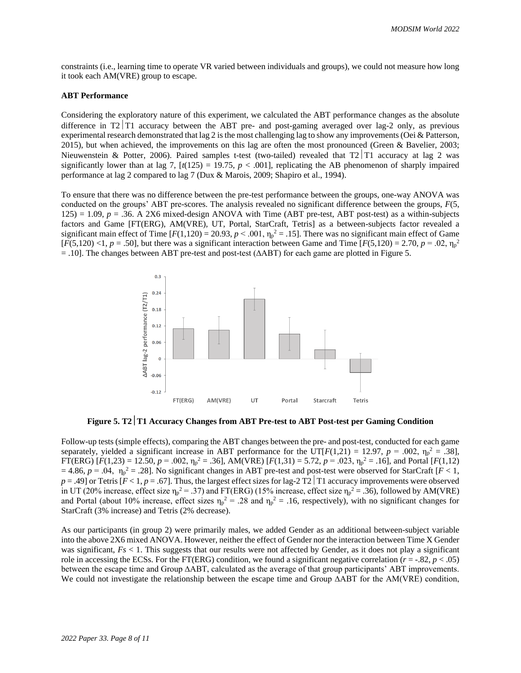constraints (i.e., learning time to operate VR varied between individuals and groups), we could not measure how long it took each AM(VRE) group to escape.

#### **ABT Performance**

Considering the exploratory nature of this experiment, we calculated the ABT performance changes as the absolute difference in  $T2|T1$  accuracy between the ABT pre- and post-gaming averaged over lag-2 only, as previous experimental research demonstrated that lag 2 is the most challenging lag to show any improvements (Oei & Patterson, 2015), but when achieved, the improvements on this lag are often the most pronounced (Green & Bavelier, 2003; Nieuwenstein & Potter, 2006). Paired samples t-test (two-tailed) revealed that  $T2|T1$  accuracy at lag 2 was significantly lower than at lag 7,  $[t(125) = 19.75, p < .001]$ , replicating the AB phenomenon of sharply impaired performance at lag 2 compared to lag 7 (Dux & Marois, 2009; Shapiro et al., 1994).

To ensure that there was no difference between the pre-test performance between the groups, one-way ANOVA was conducted on the groups' ABT pre-scores. The analysis revealed no significant difference between the groups, *F*(5,  $125$ ) = 1.09,  $p = .36$ . A 2X6 mixed-design ANOVA with Time (ABT pre-test, ABT post-test) as a within-subjects factors and Game [FT(ERG), AM(VRE), UT, Portal, StarCraft, Tetris] as a between-subjects factor revealed a significant main effect of Time  $[F(1,120) = 20.93, p < .001, \eta_p^2 = .15]$ . There was no significant main effect of Game  $[F(5,120)$  <1,  $p = .50]$ , but there was a significant interaction between Game and Time  $[F(5,120) = 2.70, p = .02, \eta_p^2]$ = .10]. The changes between ABT pre-test and post-test (∆ABT) for each game are plotted in Figure 5.



**Figure 5. T2T1 Accuracy Changes from ABT Pre-test to ABT Post-test per Gaming Condition**

Follow-up tests (simple effects), comparing the ABT changes between the pre- and post-test, conducted for each game separately, yielded a significant increase in ABT performance for the UT[ $F(1,21) = 12.97$ ,  $p = .002$ ,  $\eta_p^2 = .38$ ],  $FT(ERG) [F(1,23) = 12.50, p = .002, \eta_p^2 = .36]$ , AM(VRE)  $[F(1,31) = 5.72, p = .023, \eta_p^2 = .16]$ , and Portal  $[F(1,12)$  $= 4.86$ ,  $p = .04$ ,  $\eta_p^2 = .28$ . No significant changes in ABT pre-test and post-test were observed for StarCraft [ $F < 1$ ,  $p = .49$ ] or Tetris [ $F < 1$ ,  $p = .67$ ]. Thus, the largest effect sizes for lag-2 T2 | T1 accuracy improvements were observed in UT (20% increase, effect size  $\eta_p^2 = .37$ ) and FT(ERG) (15% increase, effect size  $\eta_p^2 = .36$ ), followed by AM(VRE) and Portal (about 10% increase, effect sizes  $\eta_p^2 = 0.28$  and  $\eta_p^2 = 0.16$ , respectively), with no significant changes for StarCraft (3% increase) and Tetris (2% decrease).

As our participants (in group 2) were primarily males, we added Gender as an additional between-subject variable into the above 2X6 mixed ANOVA. However, neither the effect of Gender nor the interaction between Time X Gender was significant,  $Fs < 1$ . This suggests that our results were not affected by Gender, as it does not play a significant role in accessing the ECSs. For the FT(ERG) condition, we found a significant negative correlation ( $r = -0.82$ ,  $p < 0.05$ ) between the escape time and Group ∆ABT, calculated as the average of that group participants' ABT improvements. We could not investigate the relationship between the escape time and Group ∆ABT for the AM(VRE) condition,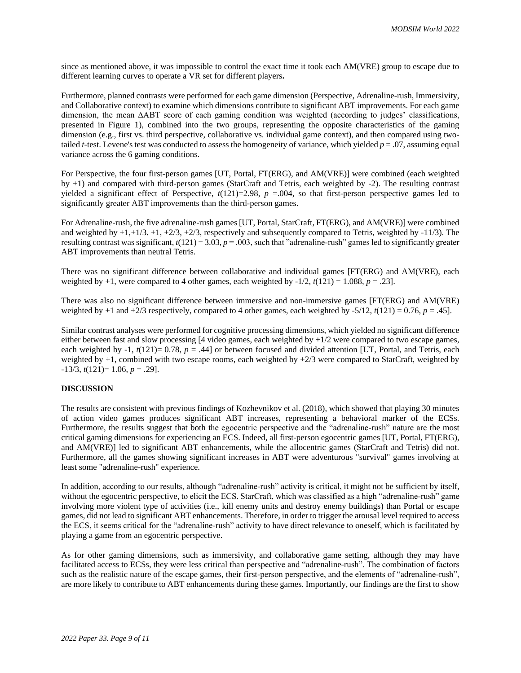since as mentioned above, it was impossible to control the exact time it took each AM(VRE) group to escape due to different learning curves to operate a VR set for different players**.** 

Furthermore, planned contrasts were performed for each game dimension (Perspective, Adrenaline-rush, Immersivity, and Collaborative context) to examine which dimensions contribute to significant ABT improvements. For each game dimension, the mean ∆ABT score of each gaming condition was weighted (according to judges' classifications, presented in Figure 1), combined into the two groups, representing the opposite characteristics of the gaming dimension (e.g., first vs. third perspective, collaborative vs. individual game context), and then compared using twotailed *t*-test. Levene's test was conducted to assess the homogeneity of variance, which yielded  $p = .07$ , assuming equal variance across the 6 gaming conditions.

For Perspective, the four first-person games [UT, Portal, FT(ERG), and AM(VRE)] were combined (each weighted by +1) and compared with third-person games (StarCraft and Tetris, each weighted by -2). The resulting contrast yielded a significant effect of Perspective,  $t(121)=2.98$ ,  $p = .004$ , so that first-person perspective games led to significantly greater ABT improvements than the third-person games.

For Adrenaline-rush, the five adrenaline-rush games [UT, Portal, StarCraft, FT(ERG), and AM(VRE)] were combined and weighted by  $+1,+1/3.+1,+2/3,+2/3$ , respectively and subsequently compared to Tetris, weighted by  $-11/3$ ). The resulting contrast was significant,  $t(121) = 3.03$ ,  $p = .003$ , such that "adrenaline-rush" games led to significantly greater ABT improvements than neutral Tetris.

There was no significant difference between collaborative and individual games [FT(ERG) and AM(VRE), each weighted by  $+1$ , were compared to 4 other games, each weighted by  $-1/2$ ,  $t(121) = 1.088$ ,  $p = .23$ ].

There was also no significant difference between immersive and non-immersive games [FT(ERG) and AM(VRE) weighted by  $+1$  and  $+2/3$  respectively, compared to 4 other games, each weighted by  $-5/12$ ,  $t(121) = 0.76$ ,  $p = .45$ ].

Similar contrast analyses were performed for cognitive processing dimensions, which yielded no significant difference either between fast and slow processing [4 video games, each weighted by +1/2 were compared to two escape games, each weighted by  $-1$ ,  $t(121)= 0.78$ ,  $p = .44$ ] or between focused and divided attention [UT, Portal, and Tetris, each weighted by +1, combined with two escape rooms, each weighted by +2/3 were compared to StarCraft, weighted by  $-13/3$ ,  $t(121)=1.06$ ,  $p=.29$ ].

## **DISCUSSION**

The results are consistent with previous findings of Kozhevnikov et al. (2018), which showed that playing 30 minutes of action video games produces significant ABT increases, representing a behavioral marker of the ECSs. Furthermore, the results suggest that both the egocentric perspective and the "adrenaline-rush" nature are the most critical gaming dimensions for experiencing an ECS. Indeed, all first-person egocentric games [UT, Portal, FT(ERG), and AM(VRE)] led to significant ABT enhancements, while the allocentric games (StarCraft and Tetris) did not. Furthermore, all the games showing significant increases in ABT were adventurous "survival" games involving at least some "adrenaline-rush" experience.

In addition, according to our results, although "adrenaline-rush" activity is critical, it might not be sufficient by itself, without the egocentric perspective, to elicit the ECS. StarCraft, which was classified as a high "adrenaline-rush" game involving more violent type of activities (i.e., kill enemy units and destroy enemy buildings) than Portal or escape games, did not lead to significant ABT enhancements. Therefore, in order to trigger the arousal level required to access the ECS, it seems critical for the "adrenaline-rush" activity to have direct relevance to oneself, which is facilitated by playing a game from an egocentric perspective.

As for other gaming dimensions, such as immersivity, and collaborative game setting, although they may have facilitated access to ECSs, they were less critical than perspective and "adrenaline-rush". The combination of factors such as the realistic nature of the escape games, their first-person perspective, and the elements of "adrenaline-rush", are more likely to contribute to ABT enhancements during these games. Importantly, our findings are the first to show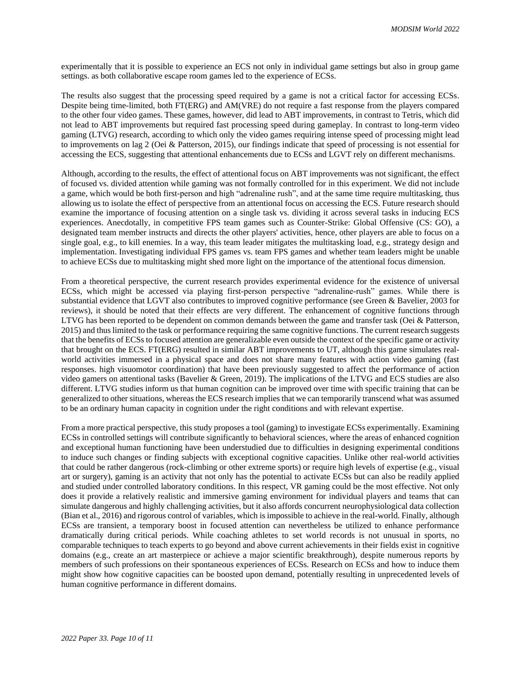experimentally that it is possible to experience an ECS not only in individual game settings but also in group game settings. as both collaborative escape room games led to the experience of ECSs.

The results also suggest that the processing speed required by a game is not a critical factor for accessing ECSs. Despite being time-limited, both FT(ERG) and AM(VRE) do not require a fast response from the players compared to the other four video games. These games, however, did lead to ABT improvements, in contrast to Tetris, which did not lead to ABT improvements but required fast processing speed during gameplay. In contrast to long-term video gaming (LTVG) research, according to which only the video games requiring intense speed of processing might lead to improvements on lag 2 (Oei & Patterson, 2015), our findings indicate that speed of processing is not essential for accessing the ECS, suggesting that attentional enhancements due to ECSs and LGVT rely on different mechanisms.

Although, according to the results, the effect of attentional focus on ABT improvements was not significant, the effect of focused vs. divided attention while gaming was not formally controlled for in this experiment. We did not include a game, which would be both first-person and high "adrenaline rush", and at the same time require multitasking, thus allowing us to isolate the effect of perspective from an attentional focus on accessing the ECS. Future research should examine the importance of focusing attention on a single task vs. dividing it across several tasks in inducing ECS experiences. Anecdotally, in competitive FPS team games such as Counter-Strike: Global Offensive (CS: GO), a designated team member instructs and directs the other players' activities, hence, other players are able to focus on a single goal, e.g., to kill enemies. In a way, this team leader mitigates the multitasking load, e.g., strategy design and implementation. Investigating individual FPS games vs. team FPS games and whether team leaders might be unable to achieve ECSs due to multitasking might shed more light on the importance of the attentional focus dimension.

From a theoretical perspective, the current research provides experimental evidence for the existence of universal ECSs, which might be accessed via playing first-person perspective "adrenaline-rush" games. While there is substantial evidence that LGVT also contributes to improved cognitive performance (see Green & Bavelier, 2003 for reviews), it should be noted that their effects are very different. The enhancement of cognitive functions through LTVG has been reported to be dependent on common demands between the game and transfer task (Oei & Patterson, 2015) and thus limited to the task or performance requiring the same cognitive functions. The current research suggests that the benefits of ECSs to focused attention are generalizable even outside the context of the specific game or activity that brought on the ECS. FT(ERG) resulted in similar ABT improvements to UT, although this game simulates realworld activities immersed in a physical space and does not share many features with action video gaming (fast responses. high visuomotor coordination) that have been previously suggested to affect the performance of action video gamers on attentional tasks (Bavelier & Green, 2019). The implications of the LTVG and ECS studies are also different. LTVG studies inform us that human cognition can be improved over time with specific training that can be generalized to other situations, whereas the ECS research implies that we can temporarily transcend what was assumed to be an ordinary human capacity in cognition under the right conditions and with relevant expertise.

From a more practical perspective, this study proposes a tool (gaming) to investigate ECSs experimentally. Examining ECSs in controlled settings will contribute significantly to behavioral sciences, where the areas of enhanced cognition and exceptional human functioning have been understudied due to difficulties in designing experimental conditions to induce such changes or finding subjects with exceptional cognitive capacities. Unlike other real-world activities that could be rather dangerous (rock-climbing or other extreme sports) or require high levels of expertise (e.g., visual art or surgery), gaming is an activity that not only has the potential to activate ECSs but can also be readily applied and studied under controlled laboratory conditions. In this respect, VR gaming could be the most effective. Not only does it provide a relatively realistic and immersive gaming environment for individual players and teams that can simulate dangerous and highly challenging activities, but it also affords concurrent neurophysiological data collection (Bian et al., 2016) and rigorous control of variables, which is impossible to achieve in the real-world. Finally, although ECSs are transient, a temporary boost in focused attention can nevertheless be utilized to enhance performance dramatically during critical periods. While coaching athletes to set world records is not unusual in sports, no comparable techniques to teach experts to go beyond and above current achievements in their fields exist in cognitive domains (e.g., create an art masterpiece or achieve a major scientific breakthrough), despite numerous reports by members of such professions on their spontaneous experiences of ECSs. Research on ECSs and how to induce them might show how cognitive capacities can be boosted upon demand, potentially resulting in unprecedented levels of human cognitive performance in different domains.